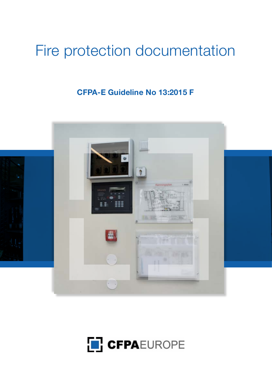# Fire protection documentation

# **CFPA-E Guideline No 13:2015 F**



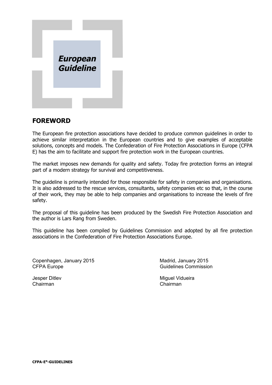

### **FOREWORD**

The European fire protection associations have decided to produce common guidelines in order to achieve similar interpretation in the European countries and to give examples of acceptable solutions, concepts and models. The Confederation of Fire Protection Associations in Europe (CFPA E) has the aim to facilitate and support fire protection work in the European countries.

The market imposes new demands for quality and safety. Today fire protection forms an integral part of a modern strategy for survival and competitiveness.

The guideline is primarily intended for those responsible for safety in companies and organisations. It is also addressed to the rescue services, consultants, safety companies etc so that, in the course of their work, they may be able to help companies and organisations to increase the levels of fire safety.

The proposal of this guideline has been produced by the Swedish Fire Protection Association and the author is Lars Rang from Sweden.

This guideline has been compiled by Guidelines Commission and adopted by all fire protection associations in the Confederation of Fire Protection Associations Europe.

Copenhagen, January 2015 Madrid, January 2015 CFPA Europe Guidelines Commission

Chairman Chairman

Jesper Ditlev **Miguel Vidueira** Miguel Vidueira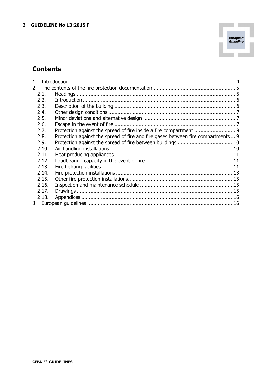

## **Contents**

| 1              |       |                                                                                  |  |
|----------------|-------|----------------------------------------------------------------------------------|--|
| $\mathcal{P}$  |       |                                                                                  |  |
|                | 2.1.  |                                                                                  |  |
|                | 2.2.  |                                                                                  |  |
|                | 2.3.  |                                                                                  |  |
|                | 2.4.  |                                                                                  |  |
|                | 2.5.  |                                                                                  |  |
|                | 2.6.  |                                                                                  |  |
|                | 2.7.  | Protection against the spread of fire inside a fire compartment  9               |  |
|                | 2.8.  | Protection against the spread of fire and fire gases between fire compartments 9 |  |
|                | 2.9.  |                                                                                  |  |
|                | 2.10. |                                                                                  |  |
|                | 2.11. |                                                                                  |  |
|                | 2.12. |                                                                                  |  |
|                | 2.13. |                                                                                  |  |
|                | 2.14. |                                                                                  |  |
|                | 2.15. |                                                                                  |  |
|                | 2.16. |                                                                                  |  |
|                | 2.17. |                                                                                  |  |
|                | 2.18. |                                                                                  |  |
| 3 <sup>1</sup> |       |                                                                                  |  |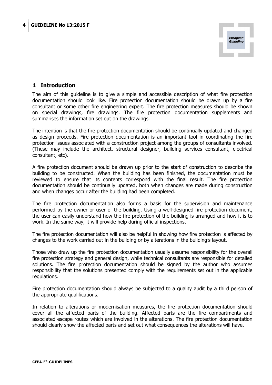

#### **1 Introduction**

The aim of this guideline is to give a simple and accessible description of what fire protection documentation should look like. Fire protection documentation should be drawn up by a fire consultant or some other fire engineering expert. The fire protection measures should be shown on special drawings, fire drawings. The fire protection documentation supplements and summarises the information set out on the drawings.

The intention is that the fire protection documentation should be continually updated and changed as design proceeds. Fire protection documentation is an important tool in coordinating the fire protection issues associated with a construction project among the groups of consultants involved. (These may include the architect, structural designer, building services consultant, electrical consultant, etc).

A fire protection document should be drawn up prior to the start of construction to describe the building to be constructed. When the building has been finished, the documentation must be reviewed to ensure that its contents correspond with the final result. The fire protection documentation should be continually updated, both when changes are made during construction and when changes occur after the building had been completed.

The fire protection documentation also forms a basis for the supervision and maintenance performed by the owner or user of the building. Using a well-designed fire protection document, the user can easily understand how the fire protection of the building is arranged and how it is to work. In the same way, it will provide help during official inspections.

The fire protection documentation will also be helpful in showing how fire protection is affected by changes to the work carried out in the building or by alterations in the building's layout.

Those who draw up the fire protection documentation usually assume responsibility for the overall fire protection strategy and general design, while technical consultants are responsible for detailed solutions. The fire protection documentation should be signed by the author who assumes responsibility that the solutions presented comply with the requirements set out in the applicable regulations.

Fire protection documentation should always be subjected to a quality audit by a third person of the appropriate qualifications.

In relation to alterations or modernisation measures, the fire protection documentation should cover all the affected parts of the building. Affected parts are the fire compartments and associated escape routes which are involved in the alterations. The fire protection documentation should clearly show the affected parts and set out what consequences the alterations will have.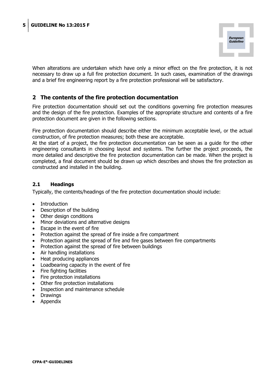

When alterations are undertaken which have only a minor effect on the fire protection, it is not necessary to draw up a full fire protection document. In such cases, examination of the drawings and a brief fire engineering report by a fire protection professional will be satisfactory.

#### **2 The contents of the fire protection documentation**

Fire protection documentation should set out the conditions governing fire protection measures and the design of the fire protection. Examples of the appropriate structure and contents of a fire protection document are given in the following sections.

Fire protection documentation should describe either the minimum acceptable level, or the actual construction, of fire protection measures; both these are acceptable.

At the start of a project, the fire protection documentation can be seen as a guide for the other engineering consultants in choosing layout and systems. The further the project proceeds, the more detailed and descriptive the fire protection documentation can be made. When the project is completed, a final document should be drawn up which describes and shows the fire protection as constructed and installed in the building.

#### **2.1 Headings**

Typically, the contents/headings of the fire protection documentation should include:

- Introduction
- Description of the building
- Other design conditions
- Minor deviations and alternative designs
- $\bullet$  Escape in the event of fire
- Protection against the spread of fire inside a fire compartment
- Protection against the spread of fire and fire gases between fire compartments
- Protection against the spread of fire between buildings
- Air handling installations
- Heat producing appliances
- Loadbearing capacity in the event of fire
- Fire fighting facilities
- Fire protection installations
- Other fire protection installations
- Inspection and maintenance schedule
- Drawings
- x Appendix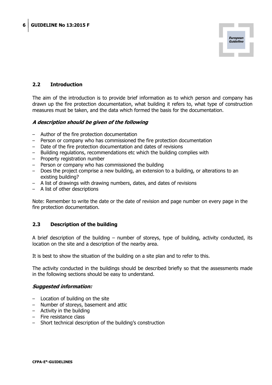

#### **2.2 Introduction**

The aim of the introduction is to provide brief information as to which person and company has drawn up the fire protection documentation, what building it refers to, what type of construction measures must be taken, and the data which formed the basis for the documentation.

#### **A description should be given of the following**

- Author of the fire protection documentation
- Person or company who has commissioned the fire protection documentation
- Date of the fire protection documentation and dates of revisions
- Building regulations, recommendations etc which the building complies with
- Property registration number
- Person or company who has commissioned the building
- Does the project comprise a new building, an extension to a building, or alterations to an existing building?
- A list of drawings with drawing numbers, dates, and dates of revisions
- A list of other descriptions

Note: Remember to write the date or the date of revision and page number on every page in the fire protection documentation.

#### **2.3 Description of the building**

A brief description of the building – number of storeys, type of building, activity conducted, its location on the site and a description of the nearby area.

It is best to show the situation of the building on a site plan and to refer to this.

The activity conducted in the buildings should be described briefly so that the assessments made in the following sections should be easy to understand.

#### **Suggested information:**

- Location of building on the site
- Number of storeys, basement and attic
- Activity in the building
- Fire resistance class
- Short technical description of the building's construction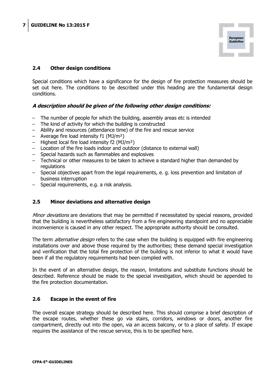

#### **2.4 Other design conditions**

Special conditions which have a significance for the design of fire protection measures should be set out here. The conditions to be described under this heading are the fundamental design conditions.

#### **A description should be given of the following other design conditions:**

- The number of people for which the building, assembly areas etc is intended
- The kind of activity for which the building is constructed
- Ability and resources (attendance time) of the fire and rescue service
- Average fire load intensity f1 (MJ/m²)
- Highest local fire load intensity f2 (MJ/m²)
- Location of the fire loads indoor and outdoor (distance to external wall)
- Special hazards such as flammables and explosives
- Technical or other measures to be taken to achieve a standard higher than demanded by regulations
- Special objectives apart from the legal requirements, e. g. loss prevention and limitation of business interruption
- Special requirements, e.g. a risk analysis.

#### **2.5 Minor deviations and alternative design**

Minor deviations are deviations that may be permitted if necessitated by special reasons, provided that the building is nevertheless satisfactory from a fire engineering standpoint and no appreciable inconvenience is caused in any other respect. The appropriate authority should be consulted.

The term *alternative design* refers to the case when the building is equipped with fire engineering installations over and above those required by the authorities; these demand special investigation and verification that the total fire protection of the building is not inferior to what it would have been if all the regulatory requirements had been complied with.

In the event of an alternative design, the reason, limitations and substitute functions should be described. Reference should be made to the special investigation, which should be appended to the fire protection documentation.

#### **2.6 Escape in the event of fire**

The overall escape strategy should be described here. This should comprise a brief description of the escape routes, whether these go via stairs, corridors, windows or doors, another fire compartment, directly out into the open, via an access balcony, or to a place of safety. If escape requires the assistance of the rescue service, this is to be specified here.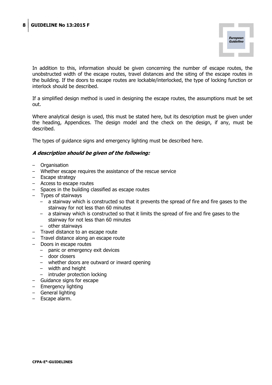

In addition to this, information should be given concerning the number of escape routes, the unobstructed width of the escape routes, travel distances and the siting of the escape routes in the building. If the doors to escape routes are lockable/interlocked, the type of locking function or interlock should be described.

If a simplified design method is used in designing the escape routes, the assumptions must be set out.

Where analytical design is used, this must be stated here, but its description must be given under the heading, Appendices. The design model and the check on the design, if any, must be described.

The types of guidance signs and emergency lighting must be described here.

- Organisation
- Whether escape requires the assistance of the rescue service
- Escape strategy
- Access to escape routes
- Spaces in the building classified as escape routes
- Types of stairways
	- a stairway which is constructed so that it prevents the spread of fire and fire gases to the stairway for not less than 60 minutes
	- a stairway which is constructed so that it limits the spread of fire and fire gases to the stairway for not less than 60 minutes
	- other stairways
- Travel distance to an escape route
- Travel distance along an escape route
- Doors in escape routes
	- panic or emergency exit devices
	- door closers
	- whether doors are outward or inward opening
	- width and height
	- intruder protection locking
- Guidance signs for escape
- Emergency lighting
- General lighting
- Escape alarm.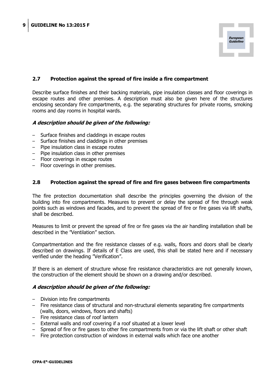

#### **2.7 Protection against the spread of fire inside a fire compartment**

Describe surface finishes and their backing materials, pipe insulation classes and floor coverings in escape routes and other premises. A description must also be given here of the structures enclosing secondary fire compartments, e.g. the separating structures for private rooms, smoking rooms and day rooms in hospital wards.

#### **A description should be given of the following:**

- Surface finishes and claddings in escape routes
- Surface finishes and claddings in other premises
- Pipe insulation class in escape routes
- Pipe insulation class in other premises
- Floor coverings in escape routes
- Floor coverings in other premises.

#### **2.8 Protection against the spread of fire and fire gases between fire compartments**

The fire protection documentation shall describe the principles governing the division of the building into fire compartments. Measures to prevent or delay the spread of fire through weak points such as windows and facades, and to prevent the spread of fire or fire gases via lift shafts, shall be described.

Measures to limit or prevent the spread of fire or fire gases via the air handling installation shall be described in the "Ventilation" section.

Compartmentation and the fire resistance classes of e.g. walls, floors and doors shall be clearly described on drawings. If details of E Class are used, this shall be stated here and if necessary verified under the heading "Verification".

If there is an element of structure whose fire resistance characteristics are not generally known, the construction of the element should be shown on a drawing and/or described.

- Division into fire compartments
- Fire resistance class of structural and non-structural elements separating fire compartments (walls, doors, windows, floors and shafts)
- Fire resistance class of roof lantern
- External walls and roof covering if a roof situated at a lower level
- Spread of fire or fire gases to other fire compartments from or via the lift shaft or other shaft
- Fire protection construction of windows in external walls which face one another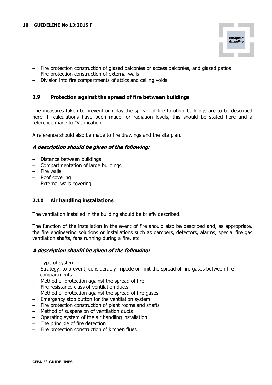

- Fire protection construction of glazed balconies or access balconies, and glazed patios
- Fire protection construction of external walls
- Division into fire compartments of attics and ceiling voids.

#### **2.9 Protection against the spread of fire between buildings**

The measures taken to prevent or delay the spread of fire to other buildings are to be described here. If calculations have been made for radiation levels, this should be stated here and a reference made to "Verification".

A reference should also be made to fire drawings and the site plan.

#### **A description should be given of the following:**

- Distance between buildings
- Compartmentation of large buildings
- Fire walls
- Roof covering
- External walls covering.

#### **2.10 Air handling installations**

The ventilation installed in the building should be briefly described.

The function of the installation in the event of fire should also be described and, as appropriate, the fire engineering solutions or installations such as dampers, detectors, alarms, special fire gas ventilation shafts, fans running during a fire, etc.

- Type of system
- Strategy: to prevent, considerably impede or limit the spread of fire gases between fire compartments
- Method of protection against the spread of fire
- Fire resistance class of ventilation ducts
- Method of protection against the spread of fire gases
- Emergency stop button for the ventilation system
- Fire protection construction of plant rooms and shafts
- Method of suspension of ventilation ducts
- Operating system of the air handling installation
- The principle of fire detection
- Fire protection construction of kitchen flues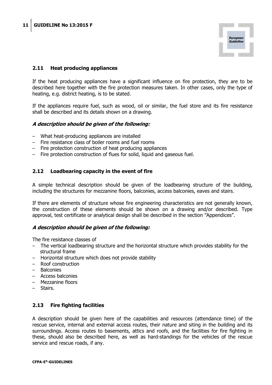

#### **2.11 Heat producing appliances**

If the heat producing appliances have a significant influence on fire protection, they are to be described here together with the fire protection measures taken. In other cases, only the type of heating, e.g. district heating, is to be stated.

If the appliances require fuel, such as wood, oil or similar, the fuel store and its fire resistance shall be described and its details shown on a drawing.

#### **A description should be given of the following:**

- What heat-producing appliances are installed
- Fire resistance class of boiler rooms and fuel rooms
- Fire protection construction of heat producing appliances
- Fire protection construction of flues for solid, liquid and gaseous fuel.

#### **2.12 Loadbearing capacity in the event of fire**

A simple technical description should be given of the loadbearing structure of the building, including the structures for mezzanine floors, balconies, access balconies, eaves and stairs.

If there are elements of structure whose fire engineering characteristics are not generally known, the construction of these elements should be shown on a drawing and/or described. Type approval, test certificate or analytical design shall be described in the section "Appendices".

#### **A description should be given of the following:**

The fire resistance classes of

- The vertical loadbearing structure and the horizontal structure which provides stability for the structural frame
- Horizontal structure which does not provide stability
- Roof construction
- Balconies
- Access balconies
- Mezzanine floors
- Stairs.

#### **2.13 Fire fighting facilities**

A description should be given here of the capabilities and resources (attendance time) of the rescue service, internal and external access routes, their nature and siting in the building and its surroundings. Access routes to basements, attics and roofs, and the facilities for fire fighting in these, should also be described here, as well as hard-standings for the vehicles of the rescue service and rescue roads, if any.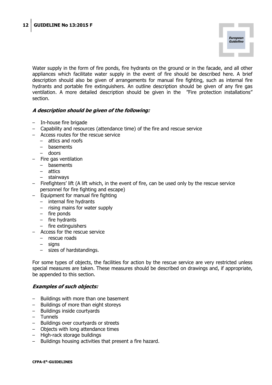

Water supply in the form of fire ponds, fire hydrants on the ground or in the facade, and all other appliances which facilitate water supply in the event of fire should be described here. A brief description should also be given of arrangements for manual fire fighting, such as internal fire hydrants and portable fire extinguishers. An outline description should be given of any fire gas ventilation. A more detailed description should be given in the "Fire protection installations" section.

#### **A description should be given of the following:**

- In-house fire brigade
- Capability and resources (attendance time) of the fire and rescue service
- Access routes for the rescue service
	- attics and roofs
	- basements
	- doors
- Fire gas ventilation
	- basements
	- attics
	- stairways
- Firefighters' lift (A lift which, in the event of fire, can be used only by the rescue service personnel for fire fighting and escape)
- Equipment for manual fire fighting
	- internal fire hydrants
	- rising mains for water supply
	- fire ponds
	- fire hydrants
	- fire extinguishers
- Access for the rescue service
	- rescue roads
	- signs
	- sizes of hardstandings.

For some types of objects, the facilities for action by the rescue service are very restricted unless special measures are taken. These measures should be described on drawings and, if appropriate, be appended to this section.

#### **Examples of such objects:**

- Buildings with more than one basement
- Buildings of more than eight storeys
- Buildings inside courtyards
- Tunnels
- Buildings over courtyards or streets
- Objects with long attendance times
- High-rack storage buildings
- Buildings housing activities that present a fire hazard.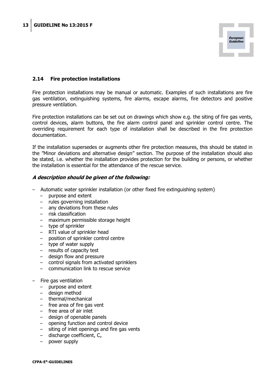

#### **2.14 Fire protection installations**

Fire protection installations may be manual or automatic. Examples of such installations are fire gas ventilation, extinguishing systems, fire alarms, escape alarms, fire detectors and positive pressure ventilation.

Fire protection installations can be set out on drawings which show e.g. the siting of fire gas vents, control devices, alarm buttons, the fire alarm control panel and sprinkler control centre. The overriding requirement for each type of installation shall be described in the fire protection documentation.

If the installation supersedes or augments other fire protection measures, this should be stated in the "Minor deviations and alternative design" section. The purpose of the installation should also be stated, i.e. whether the installation provides protection for the building or persons, or whether the installation is essential for the attendance of the rescue service.

- Automatic water sprinkler installation (or other fixed fire extinguishing system)
	- purpose and extent
	- rules governing installation
	- anv deviations from these rules
	- risk classification
	- maximum permissible storage height
	- type of sprinkler
	- RTI value of sprinkler head
	- position of sprinkler control centre
	- type of water supply
	- results of capacity test
	- design flow and pressure
	- control signals from activated sprinklers
	- communication link to rescue service
- Fire gas ventilation
	- purpose and extent
	- design method
	- thermal/mechanical
	- free area of fire gas vent
	- free area of air inlet
	- design of openable panels
	- opening function and control device
	- siting of inlet openings and fire gas vents
	- $-$  discharge coefficient,  $C_v$
	- power supply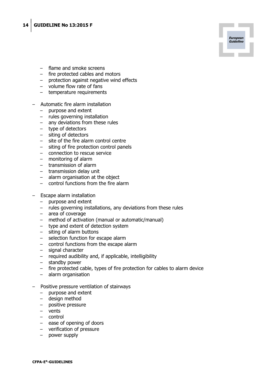

- fire protected cables and motors
- protection against negative wind effects

**European** Guideline

- volume flow rate of fans
- temperature requirements
- Automatic fire alarm installation
	- purpose and extent
	- rules governing installation
	- any deviations from these rules
	- type of detectors
	- siting of detectors
	- site of the fire alarm control centre
	- siting of fire protection control panels
	- connection to rescue service
	- monitoring of alarm
	- transmission of alarm
	- transmission delay unit
	- alarm organisation at the object
	- control functions from the fire alarm
- Escape alarm installation
	- purpose and extent
	- rules governing installations, any deviations from these rules
	- area of coverage
	- method of activation (manual or automatic/manual)
	- type and extent of detection system
	- siting of alarm buttons
	- selection function for escape alarm
	- control functions from the escape alarm
	- signal character
	- required audibility and, if applicable, intelligibility
	- standby power
	- fire protected cable, types of fire protection for cables to alarm device
	- alarm organisation
- Positive pressure ventilation of stairways
	- purpose and extent
	- design method
	- positive pressure
	- vents
	- control
	- ease of opening of doors
	- verification of pressure
	- power supply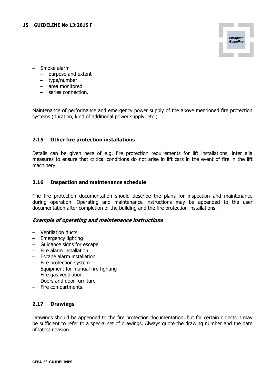

- Smoke alarm
	- purpose and extent
	- type/number
	- area monitored
	- series connection.

Maintenance of performance and emergency power supply of the above mentioned fire protection systems (duration, kind of additional power supply, etc.)

#### **2.15 Other fire protection installations**

Details can be given here of e.g. fire protection requirements for lift installations, inter alia measures to ensure that critical conditions do not arise in lift cars in the event of fire in the lift machinery.

#### **2.16 Inspection and maintenance schedule**

The fire protection documentation should describe the plans for inspection and maintenance during operation. Operating and maintenance instructions may be appended to the user documentation after completion of the building and the fire protection installations.

#### **Example of operating and maintenance instructions**

- Ventilation ducts
- Emergency lighting
- Guidance signs for escape
- Fire alarm installation
- Escape alarm installation
- Fire protection system
- Equipment for manual fire fighting
- Fire gas ventilation
- Doors and door furniture
- Fire compartments.

#### **2.17 Drawings**

Drawings should be appended to the fire protection documentation, but for certain objects it may be sufficient to refer to a special set of drawings. Always quote the drawing number and the date of latest revision.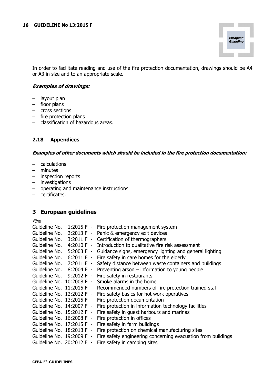

In order to facilitate reading and use of the fire protection documentation, drawings should be A4 or A3 in size and to an appropriate scale.

#### **Examples of drawings:**

- layout plan
- floor plans
- cross sections
- fire protection plans
- classification of hazardous areas.

#### **2.18 Appendices**

**Examples of other documents which should be included in the fire protection documentation:** 

- calculations
- minutes
- inspection reports
- investigations
- operating and maintenance instructions
- certificates.

#### **3 European guidelines**

Fire

| Guideline No.             |              | 1:2015 F - Fire protection management system                                     |
|---------------------------|--------------|----------------------------------------------------------------------------------|
| Guideline No.             | $2:2013 F -$ | Panic & emergency exit devices                                                   |
| Guideline No.             | $3:2011 F -$ | Certification of thermographers                                                  |
| Guideline No.             |              | 4:2010 F - Introduction to qualitative fire risk assessment                      |
|                           |              | Guideline No. 5:2003 F - Guidance signs, emergency lighting and general lighting |
|                           |              | Guideline No. $6:2011 F -$ Fire safety in care homes for the elderly             |
| Guideline No. 7:2011 F -  |              | Safety distance between waste containers and buildings                           |
| Guideline No. 8:2004 F -  |              | Preventing arson $-$ information to young people                                 |
| Guideline No. 9:2012 F -  |              | Fire safety in restaurants                                                       |
| Guideline No. 10:2008 F - |              | Smoke alarms in the home                                                         |
| Guideline No. 11:2015 F - |              | Recommended numbers of fire protection trained staff                             |
| Guideline No. 12:2012 F - |              | Fire safety basics for hot work operatives                                       |
| Guideline No. 13:2015 F - |              | Fire protection documentation                                                    |
| Guideline No. 14:2007 F - |              | Fire protection in information technology facilities                             |
| Guideline No. 15:2012 F - |              | Fire safety in guest harbours and marinas                                        |
| Guideline No. 16:2008 F - |              | Fire protection in offices                                                       |
| Guideline No. 17:2015 F - |              | Fire safety in farm buildings                                                    |
| Guideline No. 18:2013 F - |              | Fire protection on chemical manufacturing sites                                  |
| Guideline No. 19:2009 F - |              | Fire safety engineering concerning evacuation from buildings                     |
| Guideline No. 20:2012 F - |              | Fire safety in camping sites                                                     |